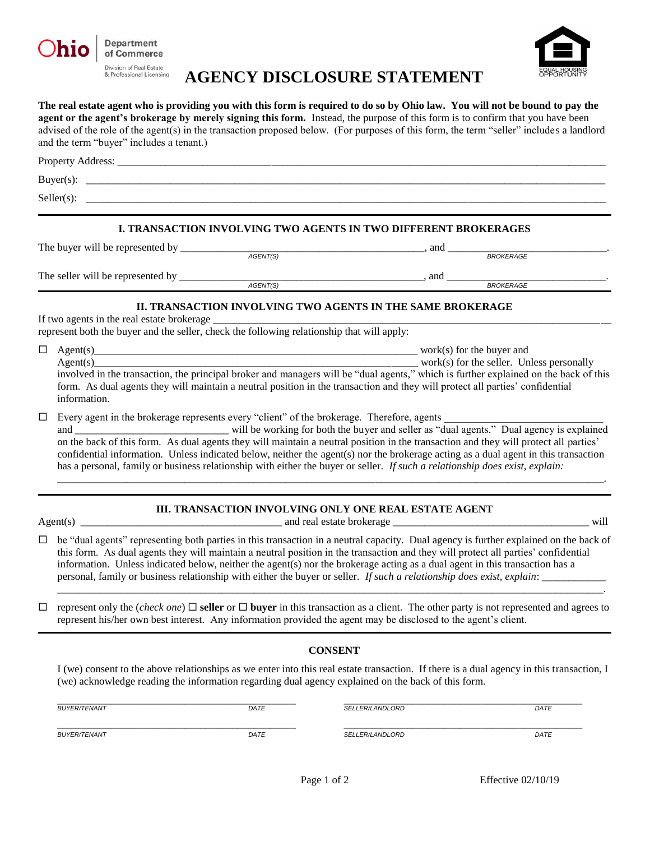

**Department** of Commerce

Division of Real Estate & Professional Licensing



# **AGENCY DISCLOSURE STATEMENT**

| The real estate agent who is providing you with this form is required to do so by Ohio law. You will not be bound to pay the             |
|------------------------------------------------------------------------------------------------------------------------------------------|
| agent or the agent's brokerage by merely signing this form. Instead, the purpose of this form is to confirm that you have been           |
| advised of the role of the agent(s) in the transaction proposed below. (For purposes of this form, the term "seller" includes a landlord |
| and the term "buyer" includes a tenant.)                                                                                                 |

| Property Address: |  |
|-------------------|--|
| $Buyer(s)$ :      |  |
| $Seller(s)$ :     |  |
|                   |  |

## **I. TRANSACTION INVOLVING TWO AGENTS IN TWO DIFFERENT BROKERAGES**

| The buyer will be represented by  |          | and              |  |
|-----------------------------------|----------|------------------|--|
|                                   | AGENT(S) | <b>BROKERAGE</b> |  |
| The seller will be represented by |          | ano              |  |
|                                   | AGENT(S) | <b>BROKERAGE</b> |  |

## **II. TRANSACTION INVOLVING TWO AGENTS IN THE SAME BROKERAGE**

If two agents in the real estate brokerage

represent both the buyer and the seller, check the following relationship that will apply:

| $\Box$ Agent(s)                                                                                                                      | work $(s)$ for the buyer and                |
|--------------------------------------------------------------------------------------------------------------------------------------|---------------------------------------------|
| Agent(s)                                                                                                                             | $work(s)$ for the seller. Unless personally |
| involved in the transaction, the principal broker and managers will be "dual agents," which is further explained on the back of this |                                             |
| form. As dual agents they will maintain a neutral position in the transaction and they will protect all parties' confidential        |                                             |
| information.                                                                                                                         |                                             |

 $\Box$  Every agent in the brokerage represents every "client" of the brokerage. Therefore, agents

and \_\_\_\_\_\_\_\_\_\_\_\_\_\_\_\_\_\_\_\_\_\_\_\_\_\_\_\_\_ will be working for both the buyer and seller as "dual agents." Dual agency is explained on the back of this form. As dual agents they will maintain a neutral position in the transaction and they will protect all parties' confidential information. Unless indicated below, neither the agent(s) nor the brokerage acting as a dual agent in this transaction has a personal, family or business relationship with either the buyer or seller. *If such a relationship does exist, explain:* 

*\_\_\_\_\_\_\_\_\_\_\_\_*\_\_\_\_\_\_\_\_\_\_\_\_\_\_\_\_\_\_\_\_\_\_\_\_\_\_\_\_\_\_\_\_\_\_\_\_\_\_\_\_\_\_\_\_\_\_\_\_\_\_\_\_\_\_\_\_\_\_\_\_\_\_\_\_\_\_\_\_\_\_\_\_\_\_\_\_\_\_\_\_\_\_\_\_\_\_\_\_\_\_\_.

# **III. TRANSACTION INVOLVING ONLY ONE REAL ESTATE AGENT**

Agent(s) and real estate brokerage  $\Box$  will

 $\Box$  be "dual agents" representing both parties in this transaction in a neutral capacity. Dual agency is further explained on the back of this form. As dual agents they will maintain a neutral position in the transaction and they will protect all parties' confidential information. Unless indicated below, neither the agent(s) nor the brokerage acting as a dual agent in this transaction has a personal, family or business relationship with either the buyer or seller. *If such a relationship does exist, explain*: \_\_\_\_\_\_\_\_\_\_\_\_

 $\Box$  represent only the (*check one*)  $\Box$  **seller** or  $\Box$  **buyer** in this transaction as a client. The other party is not represented and agrees to represent his/her own best interest. Any information provided the agent may be disclosed to the agent's client.

\_\_\_\_\_\_\_\_\_\_\_\_\_\_\_\_\_\_\_\_\_\_\_\_\_\_\_\_\_\_\_\_\_\_\_\_\_\_\_\_\_\_\_\_\_\_\_\_\_\_\_\_\_\_\_\_\_\_\_\_\_\_\_\_\_\_\_\_\_\_\_\_\_\_\_\_\_\_\_\_\_\_\_\_\_\_\_\_\_\_\_\_\_\_\_\_\_\_\_\_\_\_\_.

#### **CONSENT**

I (we) consent to the above relationships as we enter into this real estate transaction. If there is a dual agency in this transaction, I (we) acknowledge reading the information regarding dual agency explained on the back of this form.

| <i>BUYER/TENANT</i> | DATE | <i>SELLER/LANDLORD</i> | DATE |
|---------------------|------|------------------------|------|
| <i>BUYER/TENANT</i> | DATE | <i>SELLER/LANDLORD</i> | DATE |